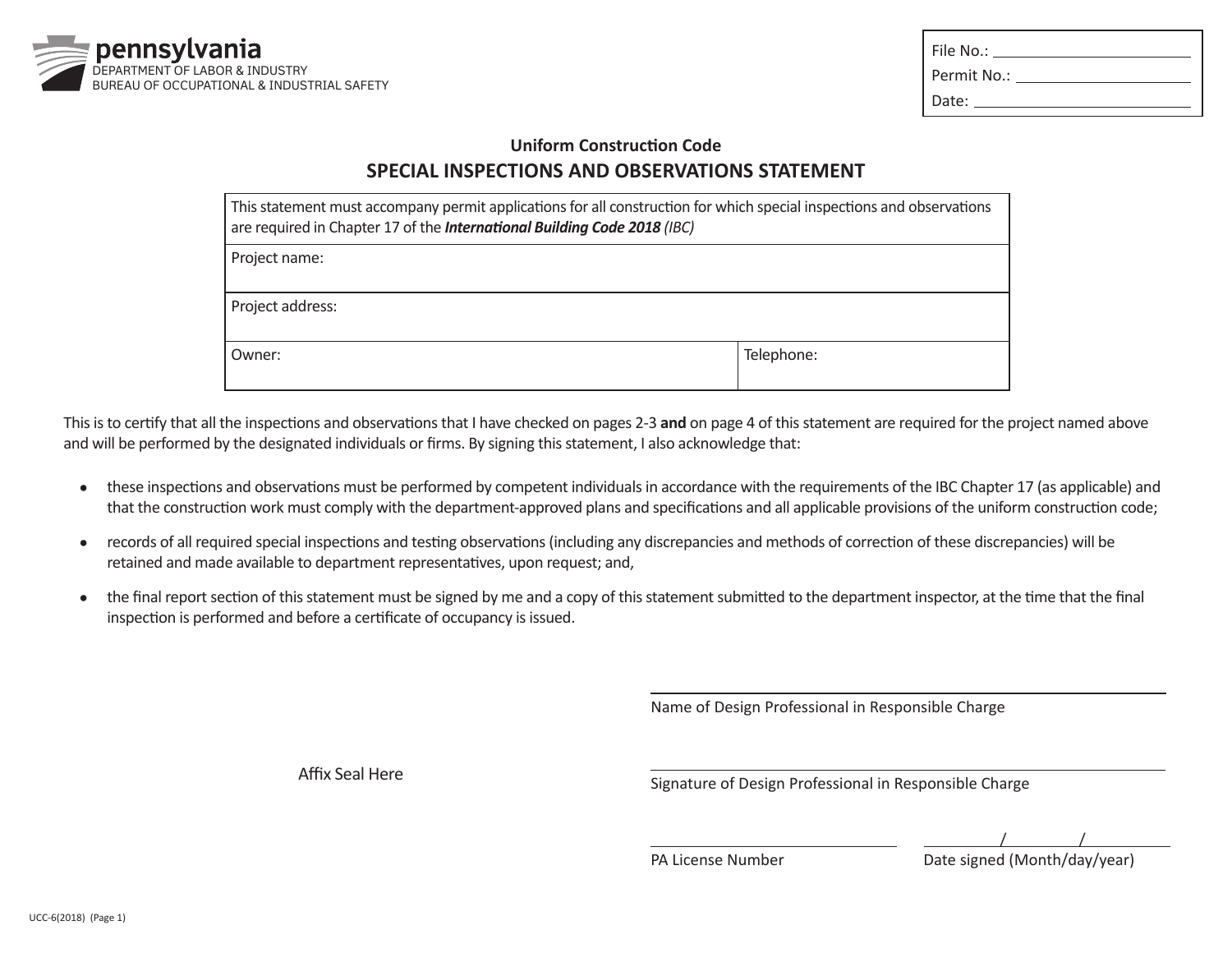

| File No.: The Mo                                                                                                |
|-----------------------------------------------------------------------------------------------------------------|
| Permit No.: The contract of the contract of the contract of the contract of the contract of the contract of the |
| Date:                                                                                                           |

## **Uniform Construction Code SPECIAL INSPECTIONS AND OBSERVATIONS STATEMENT**

| This statement must accompany permit applications for all construction for which special inspections and observations<br>are required in Chapter 17 of the International Building Code 2018 (IBC) |            |  |
|---------------------------------------------------------------------------------------------------------------------------------------------------------------------------------------------------|------------|--|
| Project name:                                                                                                                                                                                     |            |  |
| Project address:                                                                                                                                                                                  |            |  |
| Owner:                                                                                                                                                                                            | Telephone: |  |

This is to certify that all the inspections and observations that I have checked on pages 2-3 **and** on page 4 of this statement are required for the project named above and will be performed by the designated individuals or firms. By signing this statement, I also acknowledge that:

- these inspections and observations must be performed by competent individuals in accordance with the requirements of the IBC Chapter 17 (as applicable) and that the construction work must comply with the department-approved plans and specifications and all applicable provisions of the uniform construction code;
- records of all required special inspections and testing observations (including any discrepancies and methods of correction of these discrepancies) will be retained and made available to department representatives, upon request; and,
- the final report section of this statement must be signed by me and a copy of this statement submitted to the department inspector, at the time that the final inspection is performed and before a certificate of occupancy is issued.

 $\overline{a}$ 

 $\overline{a}$ 

 $\overline{a}$ 

Name of Design Professional in Responsible Charge

Affix Seal Here **Signature of Design Professional in Responsible Charge** 

 $\overline{\phantom{0}}$ / /

PA License Number Date signed (Month/day/year)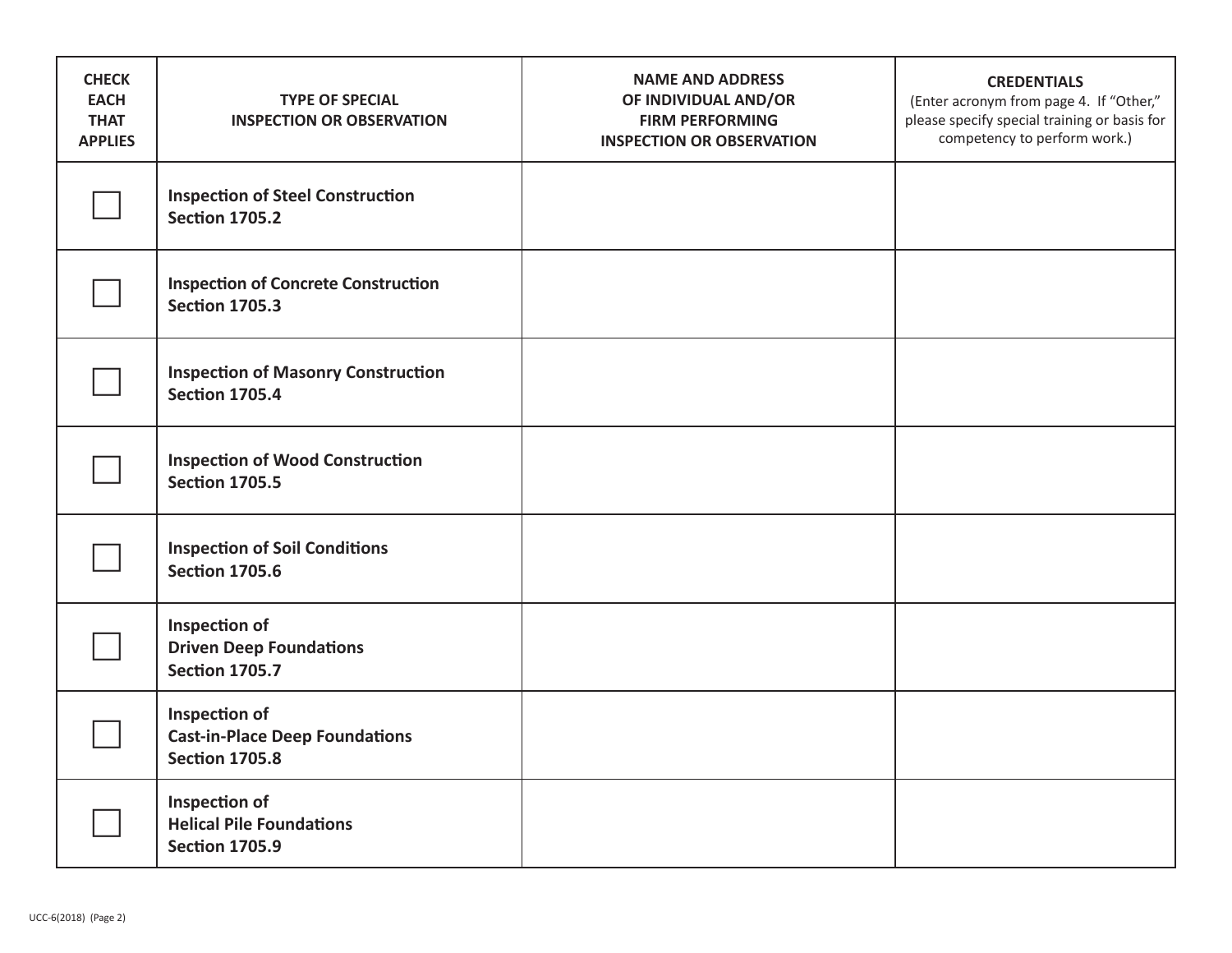| <b>CHECK</b><br><b>EACH</b><br><b>THAT</b><br><b>APPLIES</b> | <b>TYPE OF SPECIAL</b><br><b>INSPECTION OR OBSERVATION</b>                      | <b>NAME AND ADDRESS</b><br>OF INDIVIDUAL AND/OR<br><b>FIRM PERFORMING</b><br><b>INSPECTION OR OBSERVATION</b> | <b>CREDENTIALS</b><br>(Enter acronym from page 4. If "Other,"<br>please specify special training or basis for<br>competency to perform work.) |
|--------------------------------------------------------------|---------------------------------------------------------------------------------|---------------------------------------------------------------------------------------------------------------|-----------------------------------------------------------------------------------------------------------------------------------------------|
|                                                              | <b>Inspection of Steel Construction</b><br><b>Section 1705.2</b>                |                                                                                                               |                                                                                                                                               |
|                                                              | <b>Inspection of Concrete Construction</b><br><b>Section 1705.3</b>             |                                                                                                               |                                                                                                                                               |
|                                                              | <b>Inspection of Masonry Construction</b><br><b>Section 1705.4</b>              |                                                                                                               |                                                                                                                                               |
|                                                              | <b>Inspection of Wood Construction</b><br><b>Section 1705.5</b>                 |                                                                                                               |                                                                                                                                               |
|                                                              | <b>Inspection of Soil Conditions</b><br><b>Section 1705.6</b>                   |                                                                                                               |                                                                                                                                               |
|                                                              | Inspection of<br><b>Driven Deep Foundations</b><br><b>Section 1705.7</b>        |                                                                                                               |                                                                                                                                               |
|                                                              | Inspection of<br><b>Cast-in-Place Deep Foundations</b><br><b>Section 1705.8</b> |                                                                                                               |                                                                                                                                               |
|                                                              | Inspection of<br><b>Helical Pile Foundations</b><br><b>Section 1705.9</b>       |                                                                                                               |                                                                                                                                               |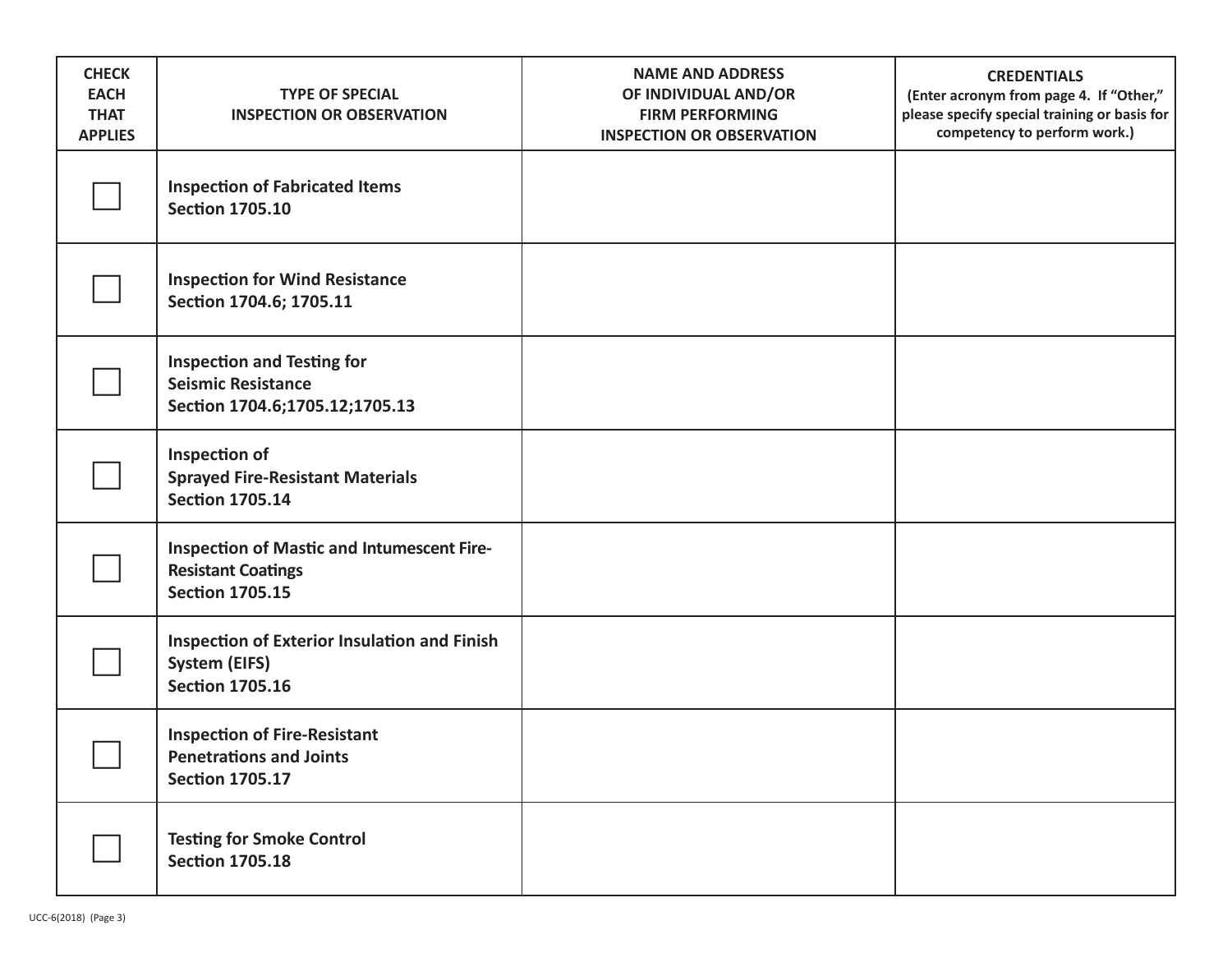| <b>CHECK</b><br><b>EACH</b><br><b>THAT</b><br><b>APPLIES</b> | <b>TYPE OF SPECIAL</b><br><b>INSPECTION OR OBSERVATION</b>                                               | <b>NAME AND ADDRESS</b><br>OF INDIVIDUAL AND/OR<br><b>FIRM PERFORMING</b><br><b>INSPECTION OR OBSERVATION</b> | <b>CREDENTIALS</b><br>(Enter acronym from page 4. If "Other,"<br>please specify special training or basis for<br>competency to perform work.) |
|--------------------------------------------------------------|----------------------------------------------------------------------------------------------------------|---------------------------------------------------------------------------------------------------------------|-----------------------------------------------------------------------------------------------------------------------------------------------|
|                                                              | <b>Inspection of Fabricated Items</b><br><b>Section 1705.10</b>                                          |                                                                                                               |                                                                                                                                               |
|                                                              | <b>Inspection for Wind Resistance</b><br>Section 1704.6; 1705.11                                         |                                                                                                               |                                                                                                                                               |
|                                                              | <b>Inspection and Testing for</b><br><b>Seismic Resistance</b><br>Section 1704.6;1705.12;1705.13         |                                                                                                               |                                                                                                                                               |
|                                                              | Inspection of<br><b>Sprayed Fire-Resistant Materials</b><br><b>Section 1705.14</b>                       |                                                                                                               |                                                                                                                                               |
|                                                              | <b>Inspection of Mastic and Intumescent Fire-</b><br><b>Resistant Coatings</b><br><b>Section 1705.15</b> |                                                                                                               |                                                                                                                                               |
|                                                              | <b>Inspection of Exterior Insulation and Finish</b><br><b>System (EIFS)</b><br><b>Section 1705.16</b>    |                                                                                                               |                                                                                                                                               |
|                                                              | <b>Inspection of Fire-Resistant</b><br><b>Penetrations and Joints</b><br><b>Section 1705.17</b>          |                                                                                                               |                                                                                                                                               |
|                                                              | <b>Testing for Smoke Control</b><br><b>Section 1705.18</b>                                               |                                                                                                               |                                                                                                                                               |